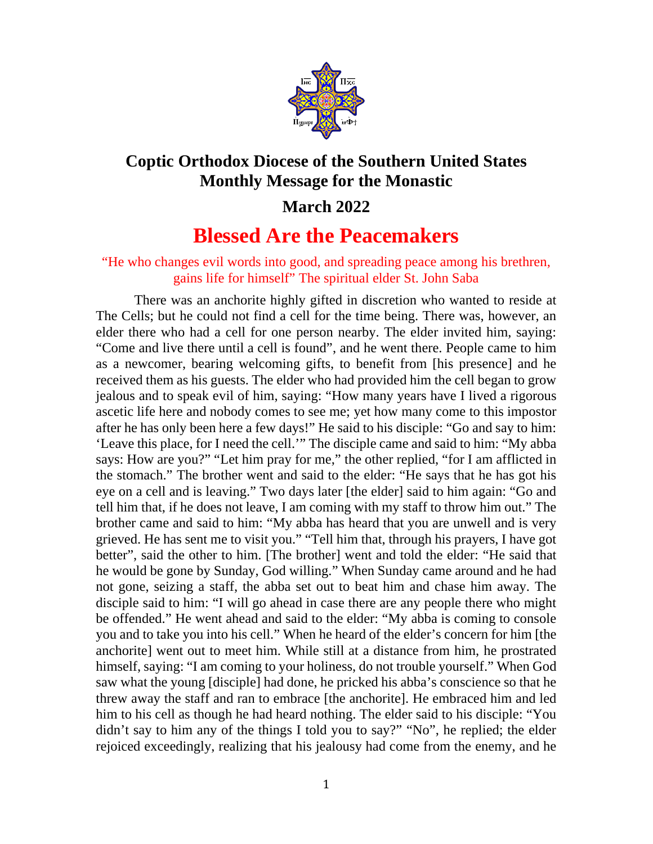

## **Coptic Orthodox Diocese of the Southern United States Monthly Message for the Monastic**

## **March 2022**

## **Blessed Are the Peacemakers**

## "He who changes evil words into good, and spreading peace among his brethren, gains life for himself" The spiritual elder St. John Saba

There was an anchorite highly gifted in discretion who wanted to reside at The Cells; but he could not find a cell for the time being. There was, however, an elder there who had a cell for one person nearby. The elder invited him, saying: "Come and live there until a cell is found", and he went there. People came to him as a newcomer, bearing welcoming gifts, to benefit from [his presence] and he received them as his guests. The elder who had provided him the cell began to grow jealous and to speak evil of him, saying: "How many years have I lived a rigorous ascetic life here and nobody comes to see me; yet how many come to this impostor after he has only been here a few days!" He said to his disciple: "Go and say to him: 'Leave this place, for I need the cell.'" The disciple came and said to him: "My abba says: How are you?" "Let him pray for me," the other replied, "for I am afflicted in the stomach." The brother went and said to the elder: "He says that he has got his eye on a cell and is leaving." Two days later [the elder] said to him again: "Go and tell him that, if he does not leave, I am coming with my staff to throw him out." The brother came and said to him: "My abba has heard that you are unwell and is very grieved. He has sent me to visit you." "Tell him that, through his prayers, I have got better", said the other to him. [The brother] went and told the elder: "He said that he would be gone by Sunday, God willing." When Sunday came around and he had not gone, seizing a staff, the abba set out to beat him and chase him away. The disciple said to him: "I will go ahead in case there are any people there who might be offended." He went ahead and said to the elder: "My abba is coming to console you and to take you into his cell." When he heard of the elder's concern for him [the anchorite] went out to meet him. While still at a distance from him, he prostrated himself, saying: "I am coming to your holiness, do not trouble yourself." When God saw what the young [disciple] had done, he pricked his abba's conscience so that he threw away the staff and ran to embrace [the anchorite]. He embraced him and led him to his cell as though he had heard nothing. The elder said to his disciple: "You didn't say to him any of the things I told you to say?" "No", he replied; the elder rejoiced exceedingly, realizing that his jealousy had come from the enemy, and he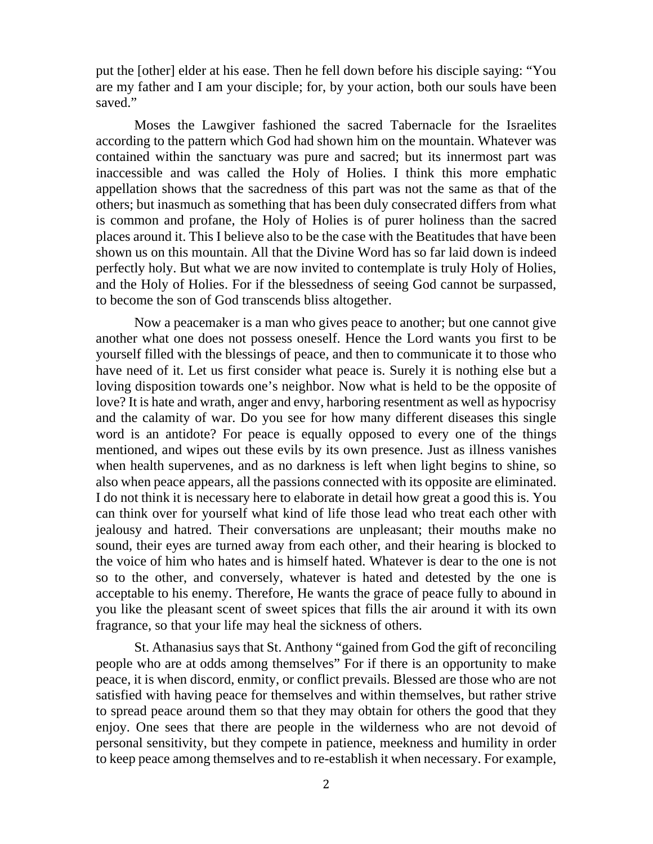put the [other] elder at his ease. Then he fell down before his disciple saying: "You are my father and I am your disciple; for, by your action, both our souls have been saved."

Moses the Lawgiver fashioned the sacred Tabernacle for the Israelites according to the pattern which God had shown him on the mountain. Whatever was contained within the sanctuary was pure and sacred; but its innermost part was inaccessible and was called the Holy of Holies. I think this more emphatic appellation shows that the sacredness of this part was not the same as that of the others; but inasmuch as something that has been duly consecrated differs from what is common and profane, the Holy of Holies is of purer holiness than the sacred places around it. This I believe also to be the case with the Beatitudes that have been shown us on this mountain. All that the Divine Word has so far laid down is indeed perfectly holy. But what we are now invited to contemplate is truly Holy of Holies, and the Holy of Holies. For if the blessedness of seeing God cannot be surpassed, to become the son of God transcends bliss altogether.

Now a peacemaker is a man who gives peace to another; but one cannot give another what one does not possess oneself. Hence the Lord wants you first to be yourself filled with the blessings of peace, and then to communicate it to those who have need of it. Let us first consider what peace is. Surely it is nothing else but a loving disposition towards one's neighbor. Now what is held to be the opposite of love? It is hate and wrath, anger and envy, harboring resentment as well as hypocrisy and the calamity of war. Do you see for how many different diseases this single word is an antidote? For peace is equally opposed to every one of the things mentioned, and wipes out these evils by its own presence. Just as illness vanishes when health supervenes, and as no darkness is left when light begins to shine, so also when peace appears, all the passions connected with its opposite are eliminated. I do not think it is necessary here to elaborate in detail how great a good this is. You can think over for yourself what kind of life those lead who treat each other with jealousy and hatred. Their conversations are unpleasant; their mouths make no sound, their eyes are turned away from each other, and their hearing is blocked to the voice of him who hates and is himself hated. Whatever is dear to the one is not so to the other, and conversely, whatever is hated and detested by the one is acceptable to his enemy. Therefore, He wants the grace of peace fully to abound in you like the pleasant scent of sweet spices that fills the air around it with its own fragrance, so that your life may heal the sickness of others.

St. Athanasius says that St. Anthony "gained from God the gift of reconciling people who are at odds among themselves" For if there is an opportunity to make peace, it is when discord, enmity, or conflict prevails. Blessed are those who are not satisfied with having peace for themselves and within themselves, but rather strive to spread peace around them so that they may obtain for others the good that they enjoy. One sees that there are people in the wilderness who are not devoid of personal sensitivity, but they compete in patience, meekness and humility in order to keep peace among themselves and to re-establish it when necessary. For example,